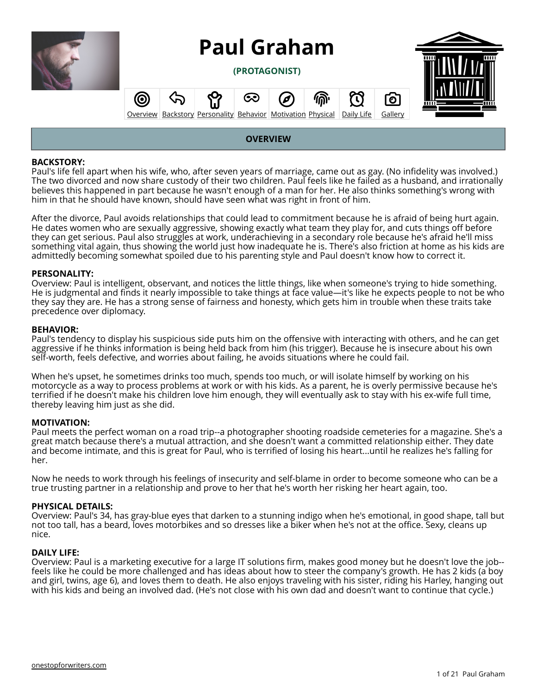<span id="page-0-0"></span>

**(PROTAGONIST)**



#### **(O)** ∾  $\Omega$ ୕ଠ **[Overview](#page-0-0) [Backstory](#page-1-0) [Personality](#page-5-0) [Behavior](#page-10-0) [Motivation](#page-13-0) [Physical](#page-16-0) [Daily Life](#page-17-0) [Gallery](#page-20-0)**

### **OVERVIEW**

#### **BACKSTORY:**

Paul's life fell apart when his wife, who, after seven years of marriage, came out as gay. (No infidelity was involved.) The two divorced and now share custody of their two children. Paul feels like he failed as a husband, and irrationally believes this happened in part because he wasn't enough of a man for her. He also thinks something's wrong with him in that he should have known, should have seen what was right in front of him.

After the divorce, Paul avoids relationships that could lead to commitment because he is afraid of being hurt again. He dates women who are sexually aggressive, showing exactly what team they play for, and cuts things off before they can get serious. Paul also struggles at work, underachieving in a secondary role because he's afraid he'll miss something vital again, thus showing the world just how inadequate he is. There's also friction at home as his kids are admittedly becoming somewhat spoiled due to his parenting style and Paul doesn't know how to correct it.

#### **PERSONALITY:**

Overview: Paul is intelligent, observant, and notices the little things, like when someone's trying to hide something. He is judgmental and finds it nearly impossible to take things at face value—it's like he expects people to not be who they say they are. He has a strong sense of fairness and honesty, which gets him in trouble when these traits take precedence over diplomacy.

#### **BEHAVIOR:**

Paul's tendency to display his suspicious side puts him on the offensive with interacting with others, and he can get aggressive if he thinks information is being held back from him (his trigger). Because he is insecure about his own self-worth, feels defective, and worries about failing, he avoids situations where he could fail.

When he's upset, he sometimes drinks too much, spends too much, or will isolate himself by working on his motorcycle as a way to process problems at work or with his kids. As a parent, he is overly permissive because he's terrified if he doesn't make his children love him enough, they will eventually ask to stay with his ex-wife full time, thereby leaving him just as she did.

#### **MOTIVATION:**

Paul meets the perfect woman on a road trip--a photographer shooting roadside cemeteries for a magazine. She's a great match because there's a mutual attraction, and she doesn't want a committed relationship either. They date and become intimate, and this is great for Paul, who is terrified of losing his heart...until he realizes he's falling for her.

Now he needs to work through his feelings of insecurity and self-blame in order to become someone who can be a true trusting partner in a relationship and prove to her that he's worth her risking her heart again, too.

#### **PHYSICAL DETAILS:**

Overview: Paul's 34, has gray-blue eyes that darken to a stunning indigo when he's emotional, in good shape, tall but not too tall, has a beard, loves motorbikes and so dresses like a biker when he's not at the office. Sexy, cleans up nice.

#### **DAILY LIFE:**

Overview: Paul is a marketing executive for a large IT solutions firm, makes good money but he doesn't love the job- feels like he could be more challenged and has ideas about how to steer the company's growth. He has 2 kids (a boy and girl, twins, age 6), and loves them to death. He also enjoys traveling with his sister, riding his Harley, hanging out with his kids and being an involved dad. (He's not close with his own dad and doesn't want to continue that cycle.)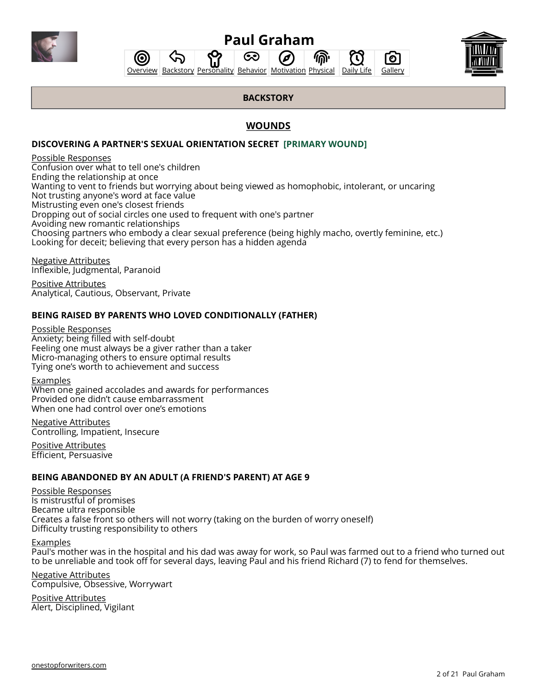<span id="page-1-0"></span>

分 **[Overview](#page-0-0) [Backstory](#page-1-0) [Personality](#page-5-0) [Behavior](#page-10-0) [Motivation](#page-13-0) [Physical](#page-16-0) [Daily Life](#page-17-0) [Gallery](#page-20-0)** 

ශ

Ø

偷

Гο

Ί.,



## **BACKSTORY**

## **WOUNDS**

## **[DISCOVERING A PARTNER'S SEXUAL ORIENTATION SECRET](https://onestopforwriters.com/wounds/128) [PRIMARY WOUND]**

#### Possible Responses

Confusion over what to tell one's children Ending the relationship at once Wanting to vent to friends but worrying about being viewed as homophobic, intolerant, or uncaring Not trusting anyone's word at face value Mistrusting even one's closest friends Dropping out of social circles one used to frequent with one's partner Avoiding new romantic relationships Choosing partners who embody a clear sexual preference (being highly macho, overtly feminine, etc.) Looking for deceit; believing that every person has a hidden agenda

Negative Attributes Inflexible, Judgmental, Paranoid

Positive Attributes Analytical, Cautious, Observant, Private

## **[BEING RAISED BY PARENTS WHO LOVED CONDITIONALLY \(FATHER\)](https://onestopforwriters.com/wounds/113)**

Possible Responses Anxiety; being filled with self-doubt Feeling one must always be a giver rather than a taker Micro-managing others to ensure optimal results Tying one's worth to achievement and success

(ල

#### Examples

When one gained accolades and awards for performances Provided one didn't cause embarrassment When one had control over one's emotions

Negative Attributes Controlling, Impatient, Insecure

Positive Attributes Efficient, Persuasive

### **BEING ABANDONED BY AN ADULT (A FRIEND'S PARENT) AT AGE 9**

Possible Responses Is mistrustful of promises Became ultra responsible Creates a false front so others will not worry (taking on the burden of worry oneself) Difficulty trusting responsibility to others

Examples

Paul's mother was in the hospital and his dad was away for work, so Paul was farmed out to a friend who turned out to be unreliable and took off for several days, leaving Paul and his friend Richard (7) to fend for themselves.

Negative Attributes Compulsive, Obsessive, Worrywart

Positive Attributes Alert, Disciplined, Vigilant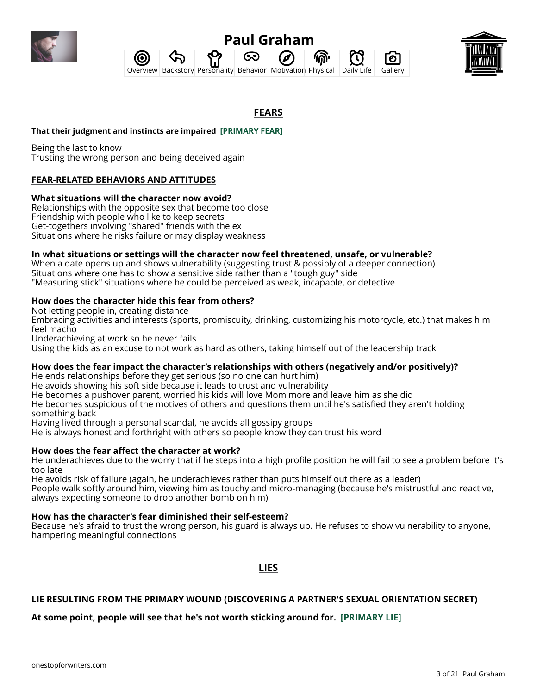

#### **Paul Graham** ෙ 偷 0 ි<br>ල ഫ **[Overview](#page-0-0) [Backstory](#page-1-0) [Personality](#page-5-0) [Behavior](#page-10-0) [Motivation](#page-13-0) [Physical](#page-16-0) [Daily Life](#page-17-0) [Gallery](#page-20-0)**



## **FEARS**

### **That their judgment and instincts are impaired [PRIMARY FEAR]**

Being the last to know Trusting the wrong person and being deceived again

## **FEAR-RELATED BEHAVIORS AND ATTITUDES**

### **What situations will the character now avoid?**

Relationships with the opposite sex that become too close Friendship with people who like to keep secrets Get-togethers involving "shared" friends with the ex Situations where he risks failure or may display weakness

#### **In what situations or settings will the character now feel threatened, unsafe, or vulnerable?**

When a date opens up and shows vulnerability (suggesting trust & possibly of a deeper connection) Situations where one has to show a sensitive side rather than a "tough guy" side "Measuring stick" situations where he could be perceived as weak, incapable, or defective

#### **How does the character hide this fear from others?**

Not letting people in, creating distance

Embracing activities and interests (sports, promiscuity, drinking, customizing his motorcycle, etc.) that makes him feel macho

Underachieving at work so he never fails

Using the kids as an excuse to not work as hard as others, taking himself out of the leadership track

#### **How does the fear impact the character's relationships with others (negatively and/or positively)?**

He ends relationships before they get serious (so no one can hurt him) He avoids showing his soft side because it leads to trust and vulnerability He becomes a pushover parent, worried his kids will love Mom more and leave him as she did

He becomes suspicious of the motives of others and questions them until he's satisfied they aren't holding something back

Having lived through a personal scandal, he avoids all gossipy groups

He is always honest and forthright with others so people know they can trust his word

### **How does the fear affect the character at work?**

He underachieves due to the worry that if he steps into a high profile position he will fail to see a problem before it's too late

He avoids risk of failure (again, he underachieves rather than puts himself out there as a leader) People walk softly around him, viewing him as touchy and micro-managing (because he's mistrustful and reactive, always expecting someone to drop another bomb on him)

#### **How has the character's fear diminished their self-esteem?**

Because he's afraid to trust the wrong person, his guard is always up. He refuses to show vulnerability to anyone, hampering meaningful connections

**LIES**

### **LIE RESULTING FROM THE PRIMARY WOUND (DISCOVERING A PARTNER'S SEXUAL ORIENTATION SECRET)**

#### **At some point, people will see that he's not worth sticking around for. [PRIMARY LIE]**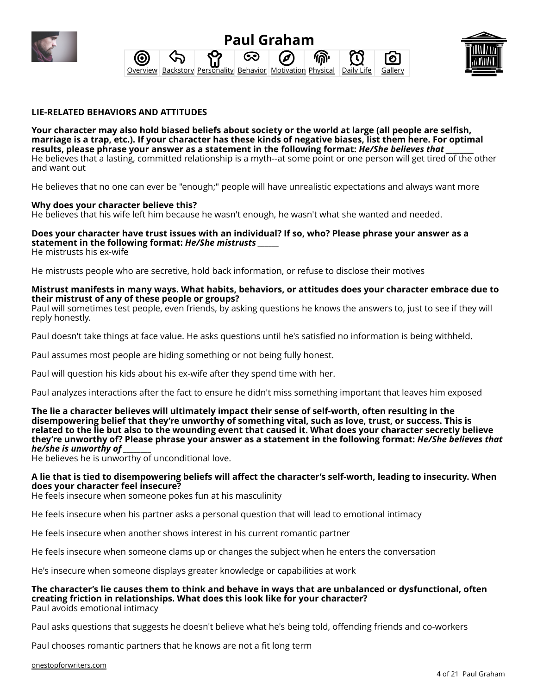





#### **LIE-RELATED BEHAVIORS AND ATTITUDES**

**Your character may also hold biased beliefs about society or the world at large (all people are selfish, marriage is a trap, etc.). If your character has these kinds of negative biases, list them here. For optimal** results, please phrase your answer as a statement in the following format: *He/She believes that* He believes that a lasting, committed relationship is a myth--at some point or one person will get tired of the other and want out

He believes that no one can ever be "enough;" people will have unrealistic expectations and always want more

#### **Why does your character believe this?**

He believes that his wife left him because he wasn't enough, he wasn't what she wanted and needed.

## **Does your character have trust issues with an individual? If so, who? Please phrase your answer as a statement in the following format:** *He/She mistrusts \_\_\_\_\_\_*

He mistrusts his ex-wife

He mistrusts people who are secretive, hold back information, or refuse to disclose their motives

#### **Mistrust manifests in many ways. What habits, behaviors, or attitudes does your character embrace due to their mistrust of any of these people or groups?**

Paul will sometimes test people, even friends, by asking questions he knows the answers to, just to see if they will reply honestly.

Paul doesn't take things at face value. He asks questions until he's satisfied no information is being withheld.

Paul assumes most people are hiding something or not being fully honest.

Paul will question his kids about his ex-wife after they spend time with her.

Paul analyzes interactions after the fact to ensure he didn't miss something important that leaves him exposed

**The lie a character believes will ultimately impact their sense of self-worth, often resulting in the disempowering belief that they're unworthy of something vital, such as love, trust, or success. This is related to the lie but also to the wounding event that caused it. What does your character secretly believe they're unworthy of? Please phrase your answer as a statement in the following format:** *He/She believes that he/she is unworthy of \_\_\_\_\_\_\_\_*

He believes he is unworthy of unconditional love.

#### **A lie that is tied to disempowering beliefs will affect the character's self-worth, leading to insecurity. When does your character feel insecure?**

He feels insecure when someone pokes fun at his masculinity

He feels insecure when his partner asks a personal question that will lead to emotional intimacy

He feels insecure when another shows interest in his current romantic partner

He feels insecure when someone clams up or changes the subject when he enters the conversation

He's insecure when someone displays greater knowledge or capabilities at work

#### **The character's lie causes them to think and behave in ways that are unbalanced or dysfunctional, often creating friction in relationships. What does this look like for your character?** Paul avoids emotional intimacy

Paul asks questions that suggests he doesn't believe what he's being told, offending friends and co-workers

Paul chooses romantic partners that he knows are not a fit long term

[onestopforwriters.com](https://onestopforwriters.com)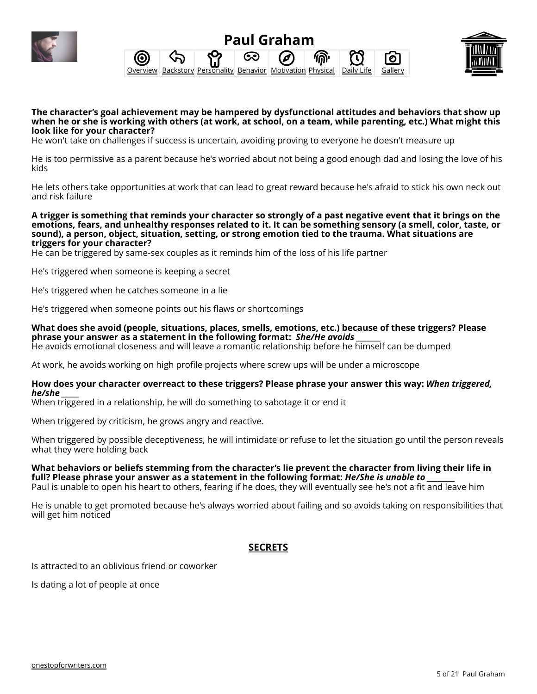





**The character's goal achievement may be hampered by dysfunctional attitudes and behaviors that show up when he or she is working with others (at work, at school, on a team, while parenting, etc.) What might this look like for your character?**

He won't take on challenges if success is uncertain, avoiding proving to everyone he doesn't measure up

He is too permissive as a parent because he's worried about not being a good enough dad and losing the love of his kids

He lets others take opportunities at work that can lead to great reward because he's afraid to stick his own neck out and risk failure

**A trigger is something that reminds your character so strongly of a past negative event that it brings on the emotions, fears, and unhealthy responses related to it. It can be something sensory (a smell, color, taste, or sound), a person, object, situation, setting, or strong emotion tied to the trauma. What situations are triggers for your character?**

He can be triggered by same-sex couples as it reminds him of the loss of his life partner

He's triggered when someone is keeping a secret

He's triggered when he catches someone in a lie

He's triggered when someone points out his flaws or shortcomings

**What does she avoid (people, situations, places, smells, emotions, etc.) because of these triggers? Please phrase your answer as a statement in the following format:** *She/He avoids \_\_\_\_\_\_\_* He avoids emotional closeness and will leave a romantic relationship before he himself can be dumped

At work, he avoids working on high profile projects where screw ups will be under a microscope

#### **How does your character overreact to these triggers? Please phrase your answer this way:** *When triggered, he/she \_\_\_\_\_*

When triggered in a relationship, he will do something to sabotage it or end it

When triggered by criticism, he grows angry and reactive.

When triggered by possible deceptiveness, he will intimidate or refuse to let the situation go until the person reveals what they were holding back

## **What behaviors or beliefs stemming from the character's lie prevent the character from living their life in** full? Please phrase your answer as a statement in the following format: *He/She is unable to*

Paul is unable to open his heart to others, fearing if he does, they will eventually see he's not a fit and leave him

He is unable to get promoted because he's always worried about failing and so avoids taking on responsibilities that will get him noticed

## **SECRETS**

Is attracted to an oblivious friend or coworker

Is dating a lot of people at once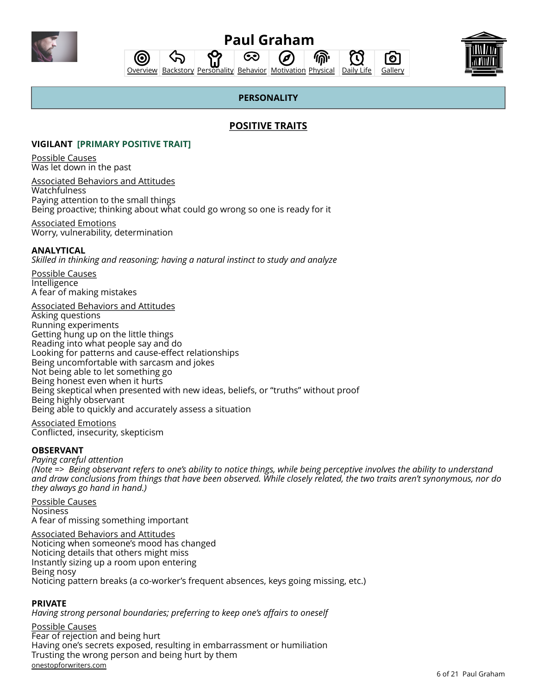<span id="page-5-0"></span>

 $\mathbf{T}$ 

Гο

ふ 偷 **[Overview](#page-0-0) [Backstory](#page-1-0) [Personality](#page-5-0) [Behavior](#page-10-0) [Motivation](#page-13-0) [Physical](#page-16-0) [Daily Life](#page-17-0) [Gallery](#page-20-0)** 

ධෙ



## **PERSONALITY**

## **POSITIVE TRAITS**

#### **VIGILANT [PRIMARY POSITIVE TRAIT]**

<u>ර</u>

Possible Causes Was let down in the past

Associated Behaviors and Attitudes Watchfulness Paying attention to the small things Being proactive; thinking about what could go wrong so one is ready for it

Associated Emotions Worry, vulnerability, determination

#### **[ANALYTICAL](https://onestopforwriters.com/positive_traits/96)**

*Skilled in thinking and reasoning; having a natural instinct to study and analyze*

Possible Causes Intelligence A fear of making mistakes

Associated Behaviors and Attitudes Asking questions Running experiments Getting hung up on the little things Reading into what people say and do Looking for patterns and cause-effect relationships Being uncomfortable with sarcasm and jokes Not being able to let something go Being honest even when it hurts Being skeptical when presented with new ideas, beliefs, or "truths" without proof Being highly observant Being able to quickly and accurately assess a situation

Associated Emotions Conflicted, insecurity, skepticism

#### **[OBSERVANT](https://onestopforwriters.com/positive_traits/53)**

*Paying careful attention (Note => Being observant refers to one's ability to notice things, while being perceptive involves the ability to understand and draw conclusions from things that have been observed. While closely related, the two traits aren't synonymous, nor do they always go hand in hand.)*

Possible Causes Nosiness A fear of missing something important

Associated Behaviors and Attitudes Noticing when someone's mood has changed Noticing details that others might miss Instantly sizing up a room upon entering Being nosy Noticing pattern breaks (a co-worker's frequent absences, keys going missing, etc.)

#### **[PRIVATE](https://onestopforwriters.com/positive_traits/63)**

*Having strong personal boundaries; preferring to keep one's affairs to oneself*

Possible Causes Fear of rejection and being hurt Having one's secrets exposed, resulting in embarrassment or humiliation Trusting the wrong person and being hurt by them [onestopforwriters.com](https://onestopforwriters.com)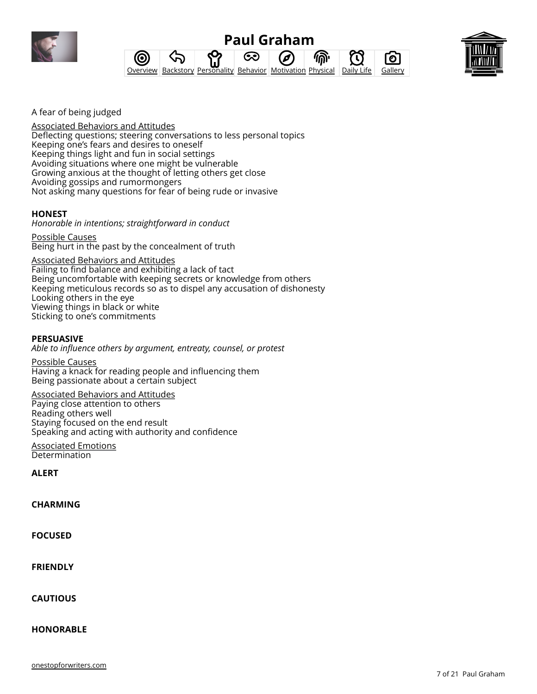

#### **Paul Graham** ふ ශ 6 偷 <u>ර</u> O Гο **[Overview](#page-0-0) [Backstory](#page-1-0) [Personality](#page-5-0) [Behavior](#page-10-0) [Motivation](#page-13-0) [Physical](#page-16-0) [Daily Life](#page-17-0) [Gallery](#page-20-0)**



A fear of being judged

Associated Behaviors and Attitudes Deflecting questions; steering conversations to less personal topics Keeping one's fears and desires to oneself Keeping things light and fun in social settings Avoiding situations where one might be vulnerable Growing anxious at the thought of letting others get close Avoiding gossips and rumormongers Not asking many questions for fear of being rude or invasive

## **[HONEST](https://onestopforwriters.com/positive_traits/34)**

*Honorable in intentions; straightforward in conduct*

Possible Causes Being hurt in the past by the concealment of truth

Associated Behaviors and Attitudes Failing to find balance and exhibiting a lack of tact Being uncomfortable with keeping secrets or knowledge from others Keeping meticulous records so as to dispel any accusation of dishonesty Looking others in the eye Viewing things in black or white Sticking to one's commitments

### **[PERSUASIVE](https://onestopforwriters.com/positive_traits/61)**

*Able to influence others by argument, entreaty, counsel, or protest*

Possible Causes Having a knack for reading people and influencing them Being passionate about a certain subject

#### Associated Behaviors and Attitudes

Paying close attention to others Reading others well Staying focused on the end result Speaking and acting with authority and confidence

Associated Emotions Determination

**[ALERT](https://onestopforwriters.com/positive_traits/13)**

**[CHARMING](https://onestopforwriters.com/positive_traits/11)**

**[FOCUSED](https://onestopforwriters.com/positive_traits/6)**

**[FRIENDLY](https://onestopforwriters.com/positive_traits/27)**

**[CAUTIOUS](https://onestopforwriters.com/positive_traits/14)**

**[HONORABLE](https://onestopforwriters.com/positive_traits/35)**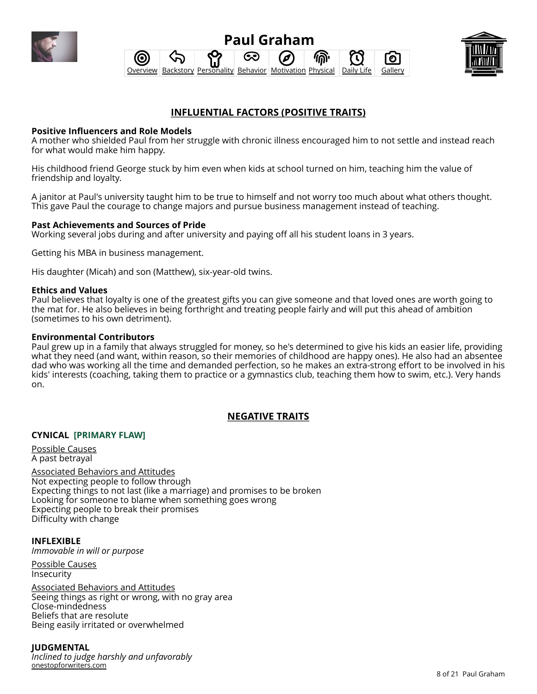





## **INFLUENTIAL FACTORS (POSITIVE TRAITS)**

#### **Positive Influencers and Role Models**

A mother who shielded Paul from her struggle with chronic illness encouraged him to not settle and instead reach for what would make him happy.

His childhood friend George stuck by him even when kids at school turned on him, teaching him the value of friendship and loyalty.

A janitor at Paul's university taught him to be true to himself and not worry too much about what others thought. This gave Paul the courage to change majors and pursue business management instead of teaching.

### **Past Achievements and Sources of Pride**

Working several jobs during and after university and paying off all his student loans in 3 years.

Getting his MBA in business management.

His daughter (Micah) and son (Matthew), six-year-old twins.

#### **Ethics and Values**

Paul believes that loyalty is one of the greatest gifts you can give someone and that loved ones are worth going to the mat for. He also believes in being forthright and treating people fairly and will put this ahead of ambition (sometimes to his own detriment).

#### **Environmental Contributors**

Paul grew up in a family that always struggled for money, so he's determined to give his kids an easier life, providing what they need (and want, within reason, so their memories of childhood are happy ones). He also had an absentee dad who was working all the time and demanded perfection, so he makes an extra-strong effort to be involved in his kids' interests (coaching, taking them to practice or a gymnastics club, teaching them how to swim, etc.). Very hands on.

## **NEGATIVE TRAITS**

### **[CYNICAL](https://onestopforwriters.com/negative_traits/13) [PRIMARY FLAW]**

Possible Causes A past betrayal

Associated Behaviors and Attitudes Not expecting people to follow through Expecting things to not last (like a marriage) and promises to be broken Looking for someone to blame when something goes wrong Expecting people to break their promises Difficulty with change

**[INFLEXIBLE](https://onestopforwriters.com/negative_traits/94)** *Immovable in will or purpose*

Possible Causes Insecurity

Associated Behaviors and Attitudes Seeing things as right or wrong, with no gray area Close-mindedness Beliefs that are resolute Being easily irritated or overwhelmed

### **[JUDGMENTAL](https://onestopforwriters.com/negative_traits/45)**

*Inclined to judge harshly and unfavorably* [onestopforwriters.com](https://onestopforwriters.com)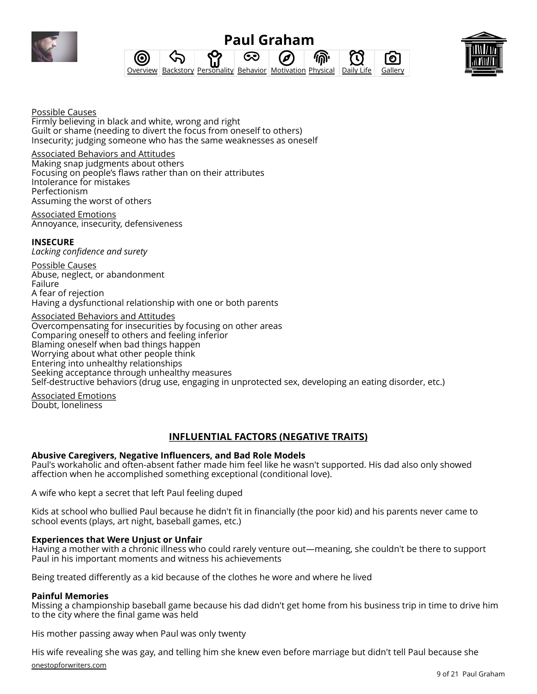

#### **Paul Graham** ෙ 偷 0 ි<br>ල **[Overview](#page-0-0) [Backstory](#page-1-0) [Personality](#page-5-0) [Behavior](#page-10-0) [Motivation](#page-13-0) [Physical](#page-16-0) [Daily Life](#page-17-0) [Gallery](#page-20-0)**



Possible Causes Firmly believing in black and white, wrong and right Guilt or shame (needing to divert the focus from oneself to others) Insecurity; judging someone who has the same weaknesses as oneself

Associated Behaviors and Attitudes Making snap judgments about others Focusing on people's flaws rather than on their attributes Intolerance for mistakes Perfectionism Assuming the worst of others

Associated Emotions Annoyance, insecurity, defensiveness

### **[INSECURE](https://onestopforwriters.com/negative_traits/41)**

*Lacking confidence and surety*

Possible Causes Abuse, neglect, or abandonment Failure A fear of rejection Having a dysfunctional relationship with one or both parents

Associated Behaviors and Attitudes

Overcompensating for insecurities by focusing on other areas Comparing oneself to others and feeling inferior Blaming oneself when bad things happen Worrying about what other people think Entering into unhealthy relationships Seeking acceptance through unhealthy measures Self-destructive behaviors (drug use, engaging in unprotected sex, developing an eating disorder, etc.)

Associated Emotions Doubt, loneliness

## **INFLUENTIAL FACTORS (NEGATIVE TRAITS)**

### **Abusive Caregivers, Negative Influencers, and Bad Role Models**

Paul's workaholic and often-absent father made him feel like he wasn't supported. His dad also only showed affection when he accomplished something exceptional (conditional love).

A wife who kept a secret that left Paul feeling duped

Kids at school who bullied Paul because he didn't fit in financially (the poor kid) and his parents never came to school events (plays, art night, baseball games, etc.)

### **Experiences that Were Unjust or Unfair**

Having a mother with a chronic illness who could rarely venture out—meaning, she couldn't be there to support Paul in his important moments and witness his achievements

Being treated differently as a kid because of the clothes he wore and where he lived

#### **Painful Memories**

Missing a championship baseball game because his dad didn't get home from his business trip in time to drive him to the city where the final game was held

His mother passing away when Paul was only twenty

His wife revealing she was gay, and telling him she knew even before marriage but didn't tell Paul because she [onestopforwriters.com](https://onestopforwriters.com)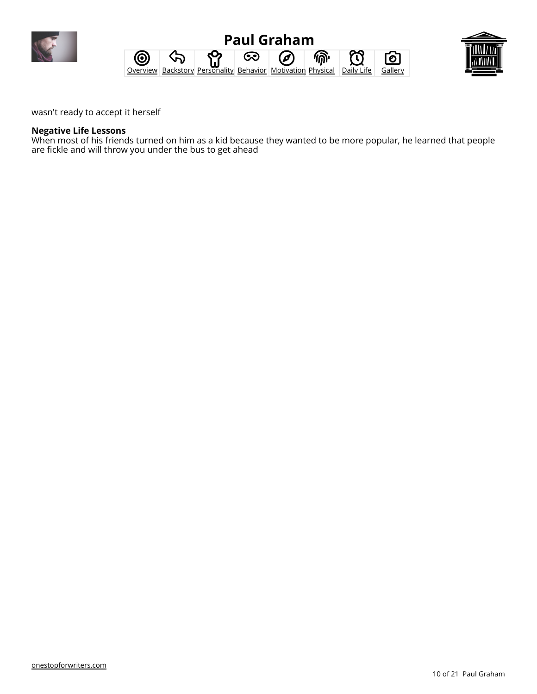





wasn't ready to accept it herself

#### **Negative Life Lessons**

When most of his friends turned on him as a kid because they wanted to be more popular, he learned that people are fickle and will throw you under the bus to get ahead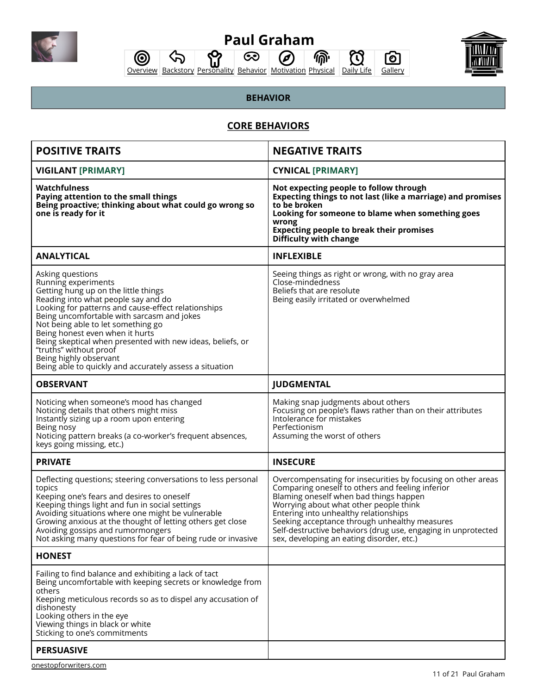<span id="page-10-0"></span>

 $\mathcal{D}$ 



<u>ර</u>

 $\hat{\varphi}$ [Overview](#page-0-0) [Backstory](#page-1-0) [Personality](#page-5-0) [Behavior](#page-10-0) [Motivation](#page-13-0) [Physical](#page-16-0) [Daily Life](#page-17-0) [Gallery](#page-20-0) ⋒  $\mathfrak{O}$  $\circledcirc$ 

 $\odot$ 

## **BEHAVIOR**

## **CORE BEHAVIORS**

| <b>POSITIVE TRAITS</b>                                                                                                                                                                                                                                                                                                                                                                                                                                                            | <b>NEGATIVE TRAITS</b>                                                                                                                                                                                                                                                                                                                                                                                       |
|-----------------------------------------------------------------------------------------------------------------------------------------------------------------------------------------------------------------------------------------------------------------------------------------------------------------------------------------------------------------------------------------------------------------------------------------------------------------------------------|--------------------------------------------------------------------------------------------------------------------------------------------------------------------------------------------------------------------------------------------------------------------------------------------------------------------------------------------------------------------------------------------------------------|
| <b>VIGILANT [PRIMARY]</b>                                                                                                                                                                                                                                                                                                                                                                                                                                                         | <b>CYNICAL [PRIMARY]</b>                                                                                                                                                                                                                                                                                                                                                                                     |
| Watchfulness<br>Paying attention to the small things<br>Being proactive; thinking about what could go wrong so<br>one is ready for it                                                                                                                                                                                                                                                                                                                                             | Not expecting people to follow through<br>Expecting things to not last (like a marriage) and promises<br>to be broken<br>Looking for someone to blame when something goes<br>wrong<br><b>Expecting people to break their promises</b><br>Difficulty with change                                                                                                                                              |
| <b>ANALYTICAL</b>                                                                                                                                                                                                                                                                                                                                                                                                                                                                 | <b>INFLEXIBLE</b>                                                                                                                                                                                                                                                                                                                                                                                            |
| Asking questions<br>Running experiments<br>Getting hung up on the little things<br>Reading into what people say and do<br>Looking for patterns and cause-effect relationships<br>Being uncomfortable with sarcasm and jokes<br>Not being able to let something go<br>Being honest even when it hurts<br>Being skeptical when presented with new ideas, beliefs, or<br>"truths" without proof<br>Being highly observant<br>Being able to quickly and accurately assess a situation | Seeing things as right or wrong, with no gray area<br>Close-mindedness<br>Beliefs that are resolute<br>Being easily irritated or overwhelmed                                                                                                                                                                                                                                                                 |
| <b>OBSERVANT</b>                                                                                                                                                                                                                                                                                                                                                                                                                                                                  | <b>JUDGMENTAL</b>                                                                                                                                                                                                                                                                                                                                                                                            |
| Noticing when someone's mood has changed<br>Noticing details that others might miss<br>Instantly sizing up a room upon entering<br>Being nosy<br>Noticing pattern breaks (a co-worker's frequent absences,<br>keys going missing, etc.)                                                                                                                                                                                                                                           | Making snap judgments about others<br>Focusing on people's flaws rather than on their attributes<br>Intolerance for mistakes<br>Perfectionism<br>Assuming the worst of others                                                                                                                                                                                                                                |
| <b>PRIVATE</b>                                                                                                                                                                                                                                                                                                                                                                                                                                                                    | <b>INSECURE</b>                                                                                                                                                                                                                                                                                                                                                                                              |
| Deflecting questions; steering conversations to less personal<br>topics<br>Keeping one's fears and desires to oneself<br>Keeping things light and fun in social settings<br>Avoiding situations where one might be vulnerable<br>Growing anxious at the thought of letting others get close<br>Avoiding gossips and rumormongers<br>Not asking many questions for fear of being rude or invasive                                                                                  | Overcompensating for insecurities by focusing on other areas<br>Comparing oneself to others and feeling inferior<br>Blaming oneself when bad things happen<br>Worrying about what other people think<br>Entering into unhealthy relationships<br>Seeking acceptance through unhealthy measures<br>Self-destructive behaviors (drug use, engaging in unprotected<br>sex, developing an eating disorder, etc.) |
| <b>HONEST</b>                                                                                                                                                                                                                                                                                                                                                                                                                                                                     |                                                                                                                                                                                                                                                                                                                                                                                                              |
| Failing to find balance and exhibiting a lack of tact<br>Being uncomfortable with keeping secrets or knowledge from<br>others<br>Keeping meticulous records so as to dispel any accusation of<br>dishonesty<br>Looking others in the eye<br>Viewing things in black or white<br>Sticking to one's commitments                                                                                                                                                                     |                                                                                                                                                                                                                                                                                                                                                                                                              |
| <b>PERSUASIVE</b>                                                                                                                                                                                                                                                                                                                                                                                                                                                                 |                                                                                                                                                                                                                                                                                                                                                                                                              |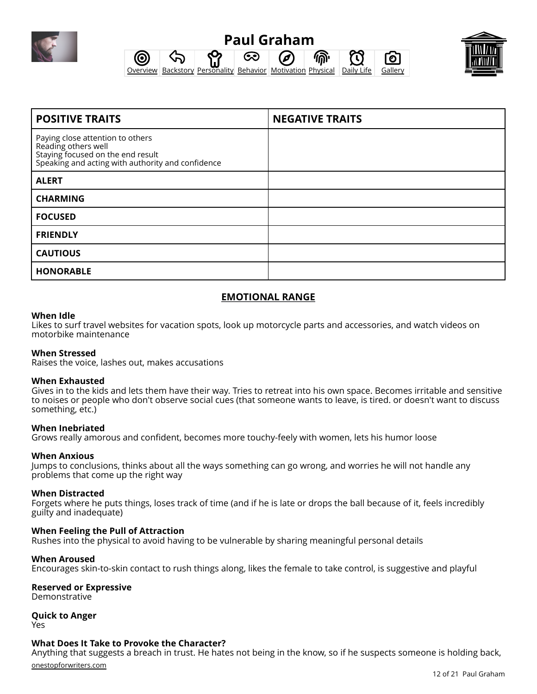

#### **Paul Graham** ෙ 0 偷 ි<br>ල **[Overview](#page-0-0) [Backstory](#page-1-0) [Personality](#page-5-0) [Behavior](#page-10-0) [Motivation](#page-13-0) [Physical](#page-16-0) [Daily Life](#page-17-0) [Gallery](#page-20-0)**



| <b>POSITIVE TRAITS</b>                                                                                                                            | <b>NEGATIVE TRAITS</b> |
|---------------------------------------------------------------------------------------------------------------------------------------------------|------------------------|
| Paying close attention to others<br>Reading others well<br>Staying focused on the end result<br>Speaking and acting with authority and confidence |                        |
| <b>ALERT</b>                                                                                                                                      |                        |
| <b>CHARMING</b>                                                                                                                                   |                        |
| <b>FOCUSED</b>                                                                                                                                    |                        |
| <b>FRIENDLY</b>                                                                                                                                   |                        |
| <b>CAUTIOUS</b>                                                                                                                                   |                        |
| <b>HONORABLE</b>                                                                                                                                  |                        |

## **EMOTIONAL RANGE**

#### **When Idle**

Likes to surf travel websites for vacation spots, look up motorcycle parts and accessories, and watch videos on motorbike maintenance

### **When Stressed**

Raises the voice, lashes out, makes accusations

#### **When Exhausted**

Gives in to the kids and lets them have their way. Tries to retreat into his own space. Becomes irritable and sensitive to noises or people who don't observe social cues (that someone wants to leave, is tired. or doesn't want to discuss something, etc.)

#### **When Inebriated**

Grows really amorous and confident, becomes more touchy-feely with women, lets his humor loose

#### **When Anxious**

Jumps to conclusions, thinks about all the ways something can go wrong, and worries he will not handle any problems that come up the right way

#### **When Distracted**

Forgets where he puts things, loses track of time (and if he is late or drops the ball because of it, feels incredibly guilty and inadequate)

#### **When Feeling the Pull of Attraction**

Rushes into the physical to avoid having to be vulnerable by sharing meaningful personal details

#### **When Aroused**

Encourages skin-to-skin contact to rush things along, likes the female to take control, is suggestive and playful

#### **Reserved or Expressive**

Demonstrative

### **Quick to Anger**

Yes

#### **What Does It Take to Provoke the Character?**

Anything that suggests a breach in trust. He hates not being in the know, so if he suspects someone is holding back,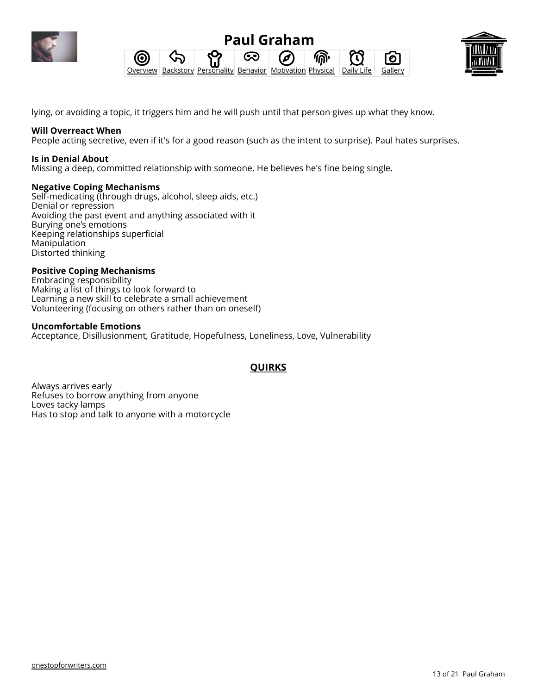





lying, or avoiding a topic, it triggers him and he will push until that person gives up what they know.

#### **Will Overreact When**

People acting secretive, even if it's for a good reason (such as the intent to surprise). Paul hates surprises.

#### **Is in Denial About**

Missing a deep, committed relationship with someone. He believes he's fine being single.

#### **Negative Coping Mechanisms**

Self-medicating (through drugs, alcohol, sleep aids, etc.) Denial or repression Avoiding the past event and anything associated with it Burying one's emotions Keeping relationships superficial Manipulation Distorted thinking

#### **Positive Coping Mechanisms**

Embracing responsibility Making a list of things to look forward to Learning a new skill to celebrate a small achievement Volunteering (focusing on others rather than on oneself)

#### **Uncomfortable Emotions**

[Acceptance](https://onestopforwriters.com/emotions/89), [Disillusionment](https://onestopforwriters.com/emotions/67), [Gratitude,](https://onestopforwriters.com/emotions/81) [Hopefulness](https://onestopforwriters.com/emotions/30), [Loneliness,](https://onestopforwriters.com/emotions/20) [Love](https://onestopforwriters.com/emotions/38), [Vulnerability](https://onestopforwriters.com/emotions/65)

## **QUIRKS**

Always arrives early Refuses to borrow anything from anyone Loves tacky lamps Has to stop and talk to anyone with a motorcycle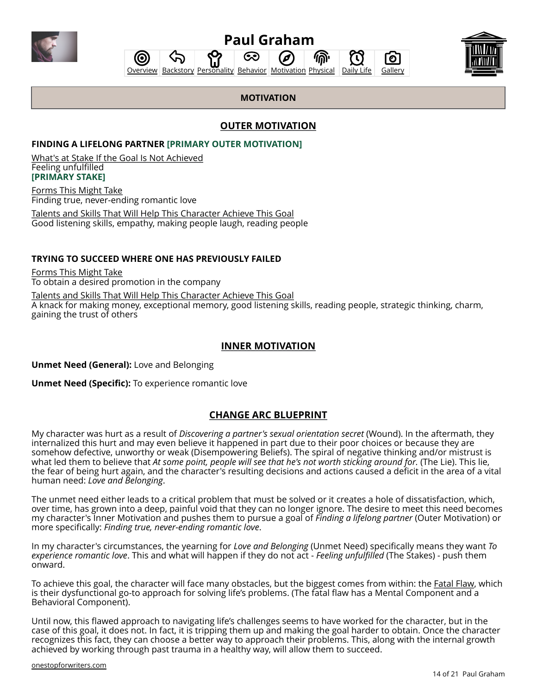<span id="page-13-0"></span>



ධෙ



ි<br>ල

## **MOTIVATION**

## **OUTER MOTIVATION**

#### **[FINDING A LIFELONG PARTNER](https://onestopforwriters.com/character_motivations/13) [PRIMARY OUTER MOTIVATION]**

(O

What's at Stake If the Goal Is Not Achieved Feeling unfulfilled **[PRIMARY STAKE]**

Forms This Might Take Finding true, never-ending romantic love

Talents and Skills That Will Help This Character Achieve This Goal Good listening skills, empathy, making people laugh, reading people

#### **[TRYING TO SUCCEED WHERE ONE HAS PREVIOUSLY FAILED](https://onestopforwriters.com/character_motivations/34)**

Forms This Might Take To obtain a desired promotion in the company

Talents and Skills That Will Help This Character Achieve This Goal A knack for making money, exceptional memory, good listening skills, reading people, strategic thinking, charm, gaining the trust of others

### **INNER MOTIVATION**

**Unmet Need (General):** Love and Belonging

**Unmet Need (Specific):** To experience romantic love

### **CHANGE ARC BLUEPRINT**

My character was hurt as a result of *[Discovering a partner's sexual orientation secret](https://onestopforwriters.com/wounds/128)* (Wound). In the aftermath, they internalized this hurt and may even believe it happened in part due to their poor choices or because they are somehow defective, unworthy or weak [\(Disempowering Beliefs\).](https://onestopforwriters.com/cbt_terminology#disempowering_beliefs) The spiral of negative thinking and/or mistrust is what led them to believe that *At some point, people will see that he's not worth sticking around for.* (The Lie). This lie, the fear of being hurt again, and the character's resulting decisions and actions caused a deficit in the area of a vital human need: *Love and Belonging*.

The unmet need either leads to a critical problem that must be solved or it creates a hole of dissatisfaction, which, over time, has grown into a deep, painful void that they can no longer ignore. The desire to meet this need becomes my character's Inner Motivation and pushes them to pursue a goal of *[Finding a lifelong partner](https://onestopforwriters.com/character_motivations/13)* (Outer Motivation) or more specifically: *Finding true, never-ending romantic love*.

In my character's circumstances, the yearning for *Love and Belonging* (Unmet Need) specifically means they want *To experience romantic love*. This and what will happen if they do not act - *Feeling unfulfilled* (The Stakes) - push them onward.

To achieve this goal, the character will face many obstacles, but the biggest comes from within: the Fatal Flaw, which is their dysfunctional go-to approach for solving life's problems. (The fatal flaw has a Mental Component and a Behavioral Component).

Until now, this flawed approach to navigating life's challenges seems to have worked for the character, but in the case of this goal, it does not. In fact, it is tripping them up and making the goal harder to obtain. Once the character recognizes this fact, they can choose a better way to approach their problems. This, along with the internal growth achieved by working through past trauma in a healthy way, will allow them to succeed.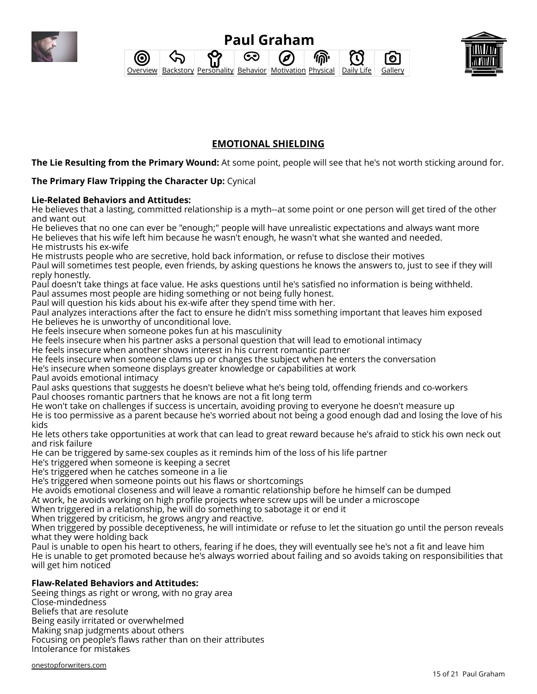





## **EMOTIONAL SHIELDING**

**The Lie Resulting from the Primary Wound:** At some point, people will see that he's not worth sticking around for.

## **The Primary Flaw Tripping the Character Up:** Cynical

#### **Lie-Related Behaviors and Attitudes:**

He believes that a lasting, committed relationship is a myth--at some point or one person will get tired of the other and want out

He believes that no one can ever be "enough;" people will have unrealistic expectations and always want more He believes that his wife left him because he wasn't enough, he wasn't what she wanted and needed.

He mistrusts his ex-wife

He mistrusts people who are secretive, hold back information, or refuse to disclose their motives Paul will sometimes test people, even friends, by asking questions he knows the answers to, just to see if they will reply honestly.

Paul doesn't take things at face value. He asks questions until he's satisfied no information is being withheld. Paul assumes most people are hiding something or not being fully honest.

Paul will question his kids about his ex-wife after they spend time with her.

Paul analyzes interactions after the fact to ensure he didn't miss something important that leaves him exposed He believes he is unworthy of unconditional love.

He feels insecure when someone pokes fun at his masculinity

He feels insecure when his partner asks a personal question that will lead to emotional intimacy

He feels insecure when another shows interest in his current romantic partner

He feels insecure when someone clams up or changes the subject when he enters the conversation

He's insecure when someone displays greater knowledge or capabilities at work

Paul avoids emotional intimacy

Paul asks questions that suggests he doesn't believe what he's being told, offending friends and co-workers Paul chooses romantic partners that he knows are not a fit long term

He won't take on challenges if success is uncertain, avoiding proving to everyone he doesn't measure up

He is too permissive as a parent because he's worried about not being a good enough dad and losing the love of his kids

He lets others take opportunities at work that can lead to great reward because he's afraid to stick his own neck out and risk failure

He can be triggered by same-sex couples as it reminds him of the loss of his life partner

He's triggered when someone is keeping a secret

He's triggered when he catches someone in a lie

He's triggered when someone points out his flaws or shortcomings

He avoids emotional closeness and will leave a romantic relationship before he himself can be dumped

At work, he avoids working on high profile projects where screw ups will be under a microscope

When triggered in a relationship, he will do something to sabotage it or end it

When triggered by criticism, he grows angry and reactive.

When triggered by possible deceptiveness, he will intimidate or refuse to let the situation go until the person reveals what they were holding back

Paul is unable to open his heart to others, fearing if he does, they will eventually see he's not a fit and leave him He is unable to get promoted because he's always worried about failing and so avoids taking on responsibilities that will get him noticed

### **Flaw-Related Behaviors and Attitudes:**

Seeing things as right or wrong, with no gray area Close-mindedness Beliefs that are resolute Being easily irritated or overwhelmed Making snap judgments about others Focusing on people's flaws rather than on their attributes Intolerance for mistakes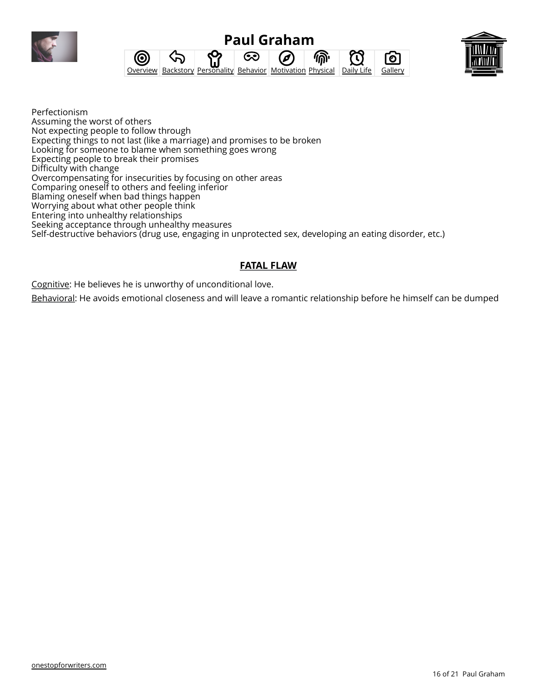





Perfectionism Assuming the worst of others Not expecting people to follow through Expecting things to not last (like a marriage) and promises to be broken Looking for someone to blame when something goes wrong Expecting people to break their promises Difficulty with change Overcompensating for insecurities by focusing on other areas Comparing oneself to others and feeling inferior Blaming oneself when bad things happen Worrying about what other people think Entering into unhealthy relationships Seeking acceptance through unhealthy measures Self-destructive behaviors (drug use, engaging in unprotected sex, developing an eating disorder, etc.)

## **FATAL FLAW**

Cognitive: He believes he is unworthy of unconditional love.

Behavioral: He avoids emotional closeness and will leave a romantic relationship before he himself can be dumped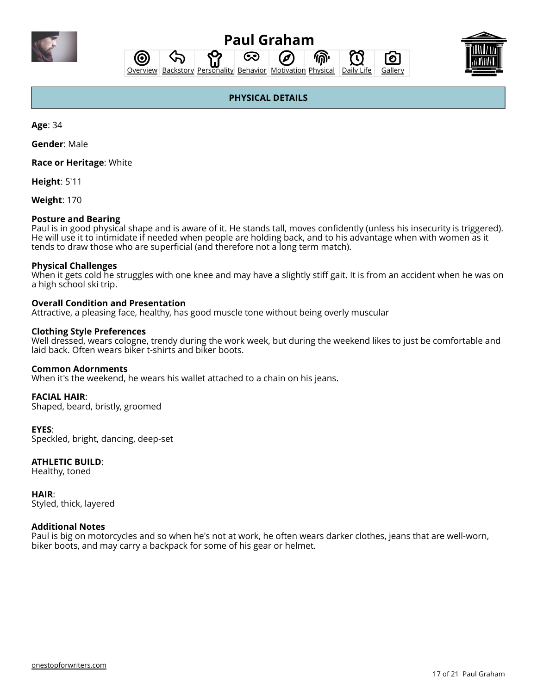<span id="page-16-0"></span>

ෙ

偷 പ് **[Overview](#page-0-0) [Backstory](#page-1-0) [Personality](#page-5-0) [Behavior](#page-10-0) [Motivation](#page-13-0) [Physical](#page-16-0) [Daily Life](#page-17-0) [Gallery](#page-20-0)** 



ົ໐ັ

T

## **PHYSICAL DETAILS**

**Age**: 34

**Gender**: Male

**Race or Heritage**: White

0

**Height**: 5'11

**Weight**: 170

#### **Posture and Bearing**

Paul is in good physical shape and is aware of it. He stands tall, moves confidently (unless his insecurity is triggered). He will use it to intimidate if needed when people are holding back, and to his advantage when with women as it tends to draw those who are superficial (and therefore not a long term match).

#### **Physical Challenges**

When it gets cold he struggles with one knee and may have a slightly stiff gait. It is from an accident when he was on a high school ski trip.

#### **Overall Condition and Presentation**

Attractive, a pleasing face, healthy, has good muscle tone without being overly muscular

#### **Clothing Style Preferences**

Well dressed, wears cologne, trendy during the work week, but during the weekend likes to just be comfortable and laid back. Often wears biker t-shirts and biker boots.

#### **Common Adornments**

When it's the weekend, he wears his wallet attached to a chain on his jeans.

#### **FACIAL HAIR**:

Shaped, beard, bristly, groomed

#### **EYES**:

Speckled, bright, dancing, deep-set

#### **ATHLETIC BUILD**:

Healthy, toned

**HAIR**: Styled, thick, layered

#### **Additional Notes**

Paul is big on motorcycles and so when he's not at work, he often wears darker clothes, jeans that are well-worn, biker boots, and may carry a backpack for some of his gear or helmet.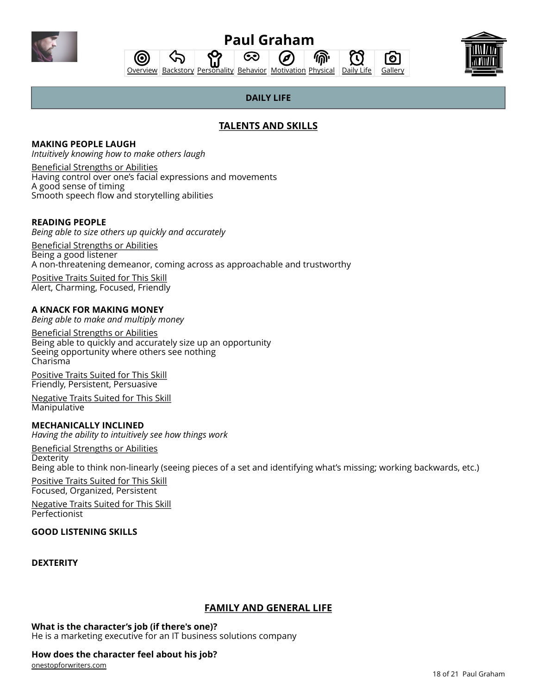<span id="page-17-0"></span>

#### **Paul Graham** ශ (d 偷

T

Го



[Overview](#page-0-0) [Backstory](#page-1-0) [Personality](#page-5-0) [Behavior](#page-10-0) [Motivation](#page-13-0) [Physical](#page-16-0) [Daily Life](#page-17-0) [Gallery](#page-20-0)

## **DAILY LIFE**

## **TALENTS AND SKILLS**

#### **[MAKING PEOPLE LAUGH](https://onestopforwriters.com/talent_skills/31)** *Intuitively knowing how to make others laugh*

Beneficial Strengths or Abilities Having control over one's facial expressions and movements A good sense of timing Smooth speech flow and storytelling abilities

分

(ල

## **[READING PEOPLE](https://onestopforwriters.com/talent_skills/17)**

*Being able to size others up quickly and accurately*

Beneficial Strengths or Abilities Being a good listener A non-threatening demeanor, coming across as approachable and trustworthy

Positive Traits Suited for This Skill Alert, Charming, Focused, Friendly

## **[A KNACK FOR MAKING MONEY](https://onestopforwriters.com/talent_skills/12)**

*Being able to make and multiply money*

Beneficial Strengths or Abilities Being able to quickly and accurately size up an opportunity Seeing opportunity where others see nothing Charisma

Positive Traits Suited for This Skill Friendly, Persistent, Persuasive

Negative Traits Suited for This Skill Manipulative

## **[MECHANICALLY INCLINED](https://onestopforwriters.com/talent_skills/29)**

*Having the ability to intuitively see how things work*

Beneficial Strengths or Abilities **Dexterity** Being able to think non-linearly (seeing pieces of a set and identifying what's missing; working backwards, etc.)

Positive Traits Suited for This Skill Focused, Organized, Persistent

Negative Traits Suited for This Skill Perfectionist

## **[GOOD LISTENING SKILLS](https://onestopforwriters.com/talent_skills/35)**

### **[DEXTERITY](https://onestopforwriters.com/talent_skills/76)**

## **FAMILY AND GENERAL LIFE**

**What is the character's job (if there's one)?**

He is a marketing executive for an IT business solutions company

### **How does the character feel about his job?**

[onestopforwriters.com](https://onestopforwriters.com)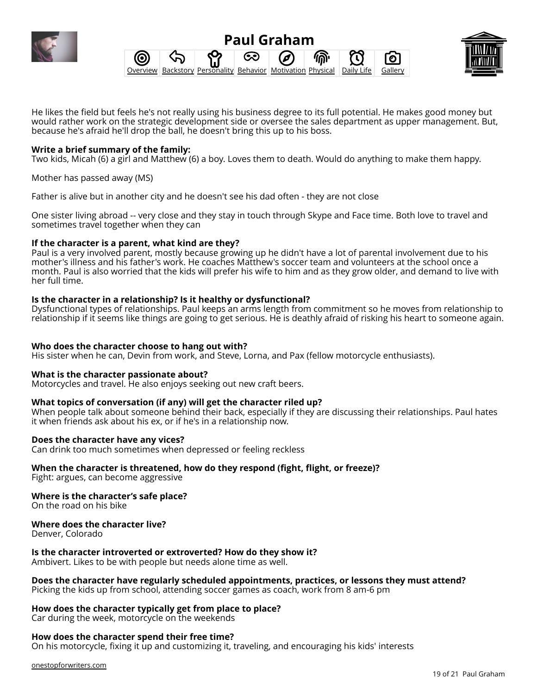





He likes the field but feels he's not really using his business degree to its full potential. He makes good money but would rather work on the strategic development side or oversee the sales department as upper management. But, because he's afraid he'll drop the ball, he doesn't bring this up to his boss.

#### **Write a brief summary of the family:**

Two kids, Micah (6) a girl and Matthew (6) a boy. Loves them to death. Would do anything to make them happy.

Mother has passed away (MS)

Father is alive but in another city and he doesn't see his dad often - they are not close

One sister living abroad -- very close and they stay in touch through Skype and Face time. Both love to travel and sometimes travel together when they can

#### **If the character is a parent, what kind are they?**

Paul is a very involved parent, mostly because growing up he didn't have a lot of parental involvement due to his mother's illness and his father's work. He coaches Matthew's soccer team and volunteers at the school once a month. Paul is also worried that the kids will prefer his wife to him and as they grow older, and demand to live with her full time.

#### **Is the character in a relationship? Is it healthy or dysfunctional?**

Dysfunctional types of relationships. Paul keeps an arms length from commitment so he moves from relationship to relationship if it seems like things are going to get serious. He is deathly afraid of risking his heart to someone again.

#### **Who does the character choose to hang out with?**

His sister when he can, Devin from work, and Steve, Lorna, and Pax (fellow motorcycle enthusiasts).

#### **What is the character passionate about?**

Motorcycles and travel. He also enjoys seeking out new craft beers.

#### **What topics of conversation (if any) will get the character riled up?**

When people talk about someone behind their back, especially if they are discussing their relationships. Paul hates it when friends ask about his ex, or if he's in a relationship now.

#### **Does the character have any vices?**

Can drink too much sometimes when depressed or feeling reckless

#### **When the character is threatened, how do they respond (fight, flight, or freeze)?**

Fight: argues, can become aggressive

#### **Where is the character's safe place?**

On the road on his bike

#### **Where does the character live?**

Denver, Colorado

#### **Is the character introverted or extroverted? How do they show it?**

Ambivert. Likes to be with people but needs alone time as well.

#### **Does the character have regularly scheduled appointments, practices, or lessons they must attend?**

Picking the kids up from school, attending soccer games as coach, work from 8 am-6 pm

#### **How does the character typically get from place to place?**

Car during the week, motorcycle on the weekends

#### **How does the character spend their free time?**

On his motorcycle, fixing it up and customizing it, traveling, and encouraging his kids' interests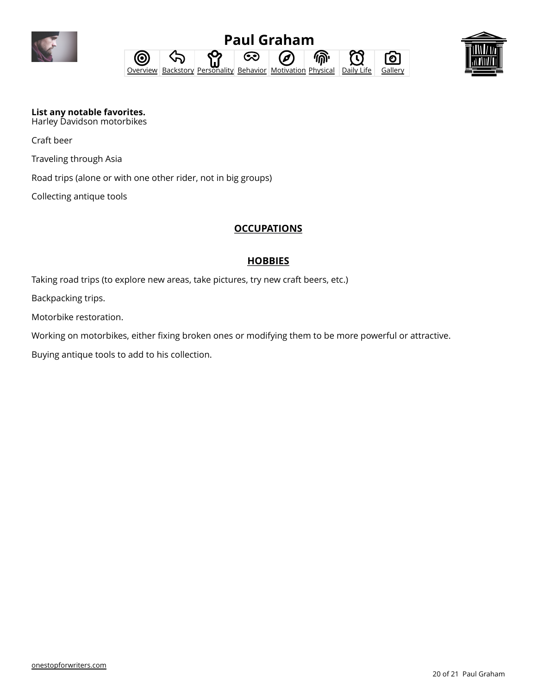





**List any notable favorites.** Harley Davidson motorbikes

Craft beer

Traveling through Asia

Road trips (alone or with one other rider, not in big groups)

Collecting antique tools

## **OCCUPATIONS**

## **HOBBIES**

Taking road trips (to explore new areas, take pictures, try new craft beers, etc.)

Backpacking trips.

Motorbike restoration.

Working on motorbikes, either fixing broken ones or modifying them to be more powerful or attractive.

Buying antique tools to add to his collection.